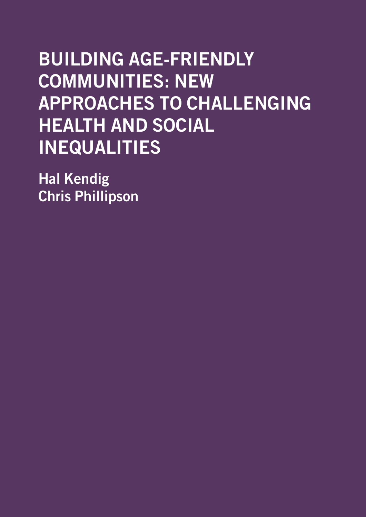# BUILDING AGE-FRIENDLY COMMUNITIES: NEW APPROACHES TO CHALLENGING HEALTH AND SOCIAL INEQUALITIES

Hal Kendig Chris Phillipson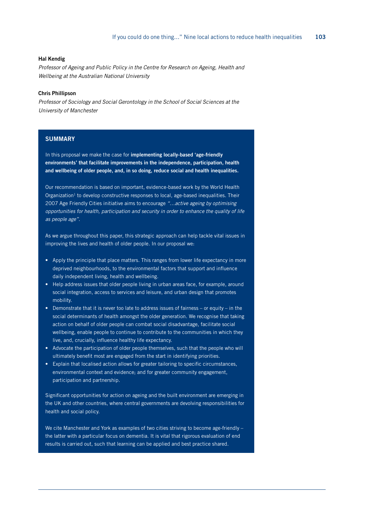#### Hal Kendig

*Professor of Ageing and Public Policy in the Centre for Research on Ageing, Health and Wellbeing at the Australian National University*

#### Chris Phillipson

*Professor of Sociology and Social Gerontology in the School of Social Sciences at the University of Manchester*

#### **SUMMARY**

In this proposal we make the case for implementing locally-based 'age-friendly environments' that facilitate improvements in the independence, participation, health and wellbeing of older people, and, in so doing, reduce social and health inequalities.

Our recommendation is based on important, evidence-based work by the World Health Organization<sup>1</sup> to develop constructive responses to local, age-based inequalities. Their 2007 Age Friendly Cities initiative aims to encourage *"…active ageing by optimising opportunities for health, participation and security in order to enhance the quality of life as people age"*.

As we argue throughout this paper, this strategic approach can help tackle vital issues in improving the lives and health of older people. In our proposal we:

- Apply the principle that place matters. This ranges from lower life expectancy in more deprived neighbourhoods, to the environmental factors that support and influence daily independent living, health and wellbeing.
- Help address issues that older people living in urban areas face, for example, around social integration, access to services and leisure, and urban design that promotes mobility.
- Demonstrate that it is never too late to address issues of fairness or equity in the social determinants of health amongst the older generation. We recognise that taking action on behalf of older people can combat social disadvantage, facilitate social wellbeing, enable people to continue to contribute to the communities in which they live, and, crucially, influence healthy life expectancy.
- Advocate the participation of older people themselves, such that the people who will ultimately benefit most are engaged from the start in identifying priorities.
- Explain that localised action allows for greater tailoring to specific circumstances, environmental context and evidence; and for greater community engagement, participation and partnership.

Significant opportunities for action on ageing and the built environment are emerging in the UK and other countries, where central governments are devolving responsibilities for health and social policy.

We cite Manchester and York as examples of two cities striving to become age-friendly the latter with a particular focus on dementia. It is vital that rigorous evaluation of end results is carried out, such that learning can be applied and best practice shared.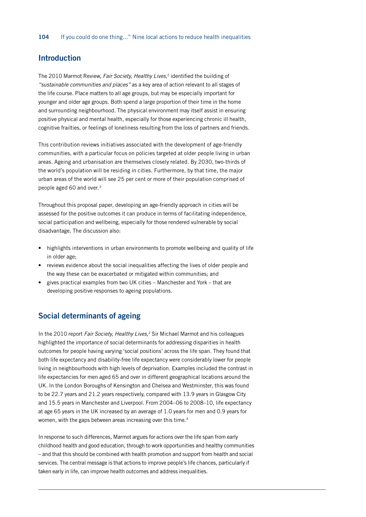## Introduction

The 2010 Marmot Review, *Fair Society, Healthy Lives*, 2 identified the building of *"sustainable communities and places"* as a key area of action relevant to all stages of the life course. Place matters to all age groups, but may be especially important for younger and older age groups. Both spend a large proportion of their time in the home and surrounding neighbourhood. The physical environment may itself assist in ensuring positive physical and mental health, especially for those experiencing chronic ill health, cognitive frailties, or feelings of loneliness resulting from the loss of partners and friends.

This contribution reviews initiatives associated with the development of age-friendly communities, with a particular focus on policies targeted at older people living in urban areas. Ageing and urbanisation are themselves closely related. By 2030, two-thirds of the world's population will be residing in cities. Furthermore, by that time, the major urban areas of the world will see 25 per cent or more of their population comprised of people aged 60 and over.<sup>3</sup>

Throughout this proposal paper, developing an age-friendly approach in cities will be assessed for the positive outcomes it can produce in terms of facilitating independence, social participation and wellbeing, especially for those rendered vulnerable by social disadvantage. The discussion also:

- highlights interventions in urban environments to promote wellbeing and quality of life in older age;
- reviews evidence about the social inequalities affecting the lives of older people and the way these can be exacerbated or mitigated within communities; and
- gives practical examples from two UK cities Manchester and York that are developing positive responses to ageing populations.

#### Social determinants of ageing

In the 2010 report *Fair Society, Healthy Lives,*2 Sir Michael Marmot and his colleagues highlighted the importance of social determinants for addressing disparities in health outcomes for people having varying 'social positions' across the life span. They found that both life expectancy and disability-free life expectancy were considerably lower for people living in neighbourhoods with high levels of deprivation. Examples included the contrast in life expectancies for men aged 65 and over in different geographical locations around the UK. In the London Boroughs of Kensington and Chelsea and Westminster, this was found to be 22.7 years and 21.2 years respectively, compared with 13.9 years in Glasgow City and 15.5 years in Manchester and Liverpool. From 2004–06 to 2008–10, life expectancy at age 65 years in the UK increased by an average of 1.0 years for men and 0.9 years for women, with the gaps between areas increasing over this time.<sup>4</sup>

In response to such differences, Marmot argues for actions over the life span from early childhood health and good education, through to work opportunities and healthy communities – and that this should be combined with health promotion and support from health and social services. The central message is that actions to improve people's life chances, particularly if taken early in life, can improve health outcomes and address inequalities.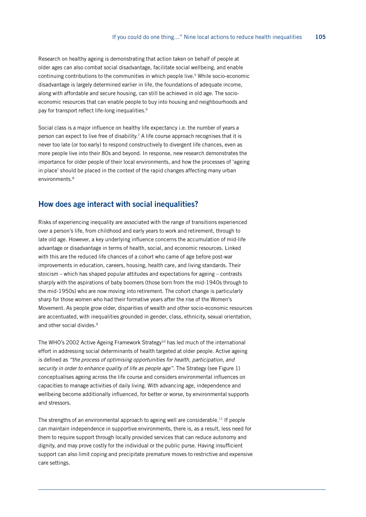Research on healthy ageing is demonstrating that action taken on behalf of people at older ages can also combat social disadvantage, facilitate social wellbeing, and enable continuing contributions to the communities in which people live.5 While socio-economic disadvantage is largely determined earlier in life, the foundations of adequate income, along with affordable and secure housing, can still be achieved in old age. The socioeconomic resources that can enable people to buy into housing and neighbourhoods and pay for transport reflect life-long inequalities.<sup>6</sup>

Social class is a major influence on healthy life expectancy i.e. the number of years a person can expect to live free of disability.7 A life course approach recognises that it is never too late (or too early) to respond constructively to divergent life chances, even as more people live into their 80s and beyond. In response, new research demonstrates the importance for older people of their local environments, and how the processes of 'ageing in place' should be placed in the context of the rapid changes affecting many urban environments.<sup>8</sup>

#### How does age interact with social inequalities?

Risks of experiencing inequality are associated with the range of transitions experienced over a person's life, from childhood and early years to work and retirement, through to late old age. However, a key underlying influence concerns the accumulation of mid-life advantage or disadvantage in terms of health, social, and economic resources. Linked with this are the reduced life chances of a cohort who came of age before post-war improvements in education, careers, housing, health care, and living standards. Their stoicism – which has shaped popular attitudes and expectations for ageing – contrasts sharply with the aspirations of baby boomers (those born from the mid-1940s through to the mid-1950s) who are now moving into retirement. The cohort change is particularly sharp for those women who had their formative years after the rise of the Women's Movement. As people grow older, disparities of wealth and other socio-economic resources are accentuated, with inequalities grounded in gender, class, ethnicity, sexual orientation, and other social divides.<sup>9</sup>

The WHO's 2002 Active Ageing Framework Strategy<sup>10</sup> has led much of the international effort in addressing social determinants of health targeted at older people. Active ageing is defined as *"the process of optimising opportunities for health, participation, and security in order to enhance quality of life as people age"*. The Strategy (see Figure 1) conceptualises ageing across the life course and considers environmental influences on capacities to manage activities of daily living. With advancing age, independence and wellbeing become additionally influenced, for better or worse, by environmental supports and stressors.

The strengths of an environmental approach to ageing well are considerable.<sup>11</sup> If people can maintain independence in supportive environments, there is, as a result, less need for them to require support through locally provided services that can reduce autonomy and dignity, and may prove costly for the individual or the public purse. Having insufficient support can also limit coping and precipitate premature moves to restrictive and expensive care settings.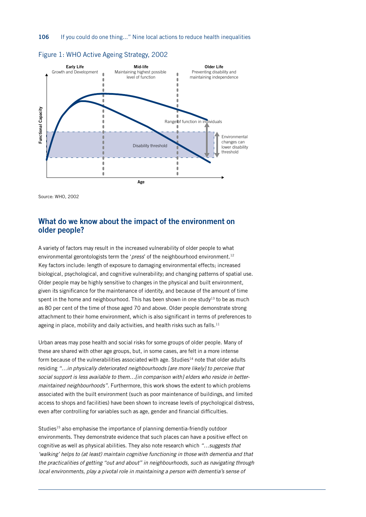

#### Figure 1: WHO Active Ageing Strategy, 2002

Source: WHO, 2002

## What do we know about the impact of the environment on older people?

A variety of factors may result in the increased vulnerability of older people to what environmental gerontologists term the '*press*' of the neighbourhood environment.12 Key factors include: length of exposure to damaging environmental effects; increased biological, psychological, and cognitive vulnerability; and changing patterns of spatial use. Older people may be highly sensitive to changes in the physical and built environment, given its significance for the maintenance of identity, and because of the amount of time spent in the home and neighbourhood. This has been shown in one study<sup>13</sup> to be as much as 80 per cent of the time of those aged 70 and above. Older people demonstrate strong attachment to their home environment, which is also significant in terms of preferences to ageing in place, mobility and daily activities, and health risks such as falls.<sup>11</sup>

Urban areas may pose health and social risks for some groups of older people. Many of these are shared with other age groups, but, in some cases, are felt in a more intense form because of the vulnerabilities associated with age. Studies<sup>14</sup> note that older adults residing *"…in physically deteriorated neighbourhoods [are more likely] to perceive that social support is less available to them…[in comparison with] elders who reside in bettermaintained neighbourhoods".* Furthermore, this work shows the extent to which problems associated with the built environment (such as poor maintenance of buildings, and limited access to shops and facilities) have been shown to increase levels of psychological distress, even after controlling for variables such as age, gender and financial difficulties.

Studies<sup>15</sup> also emphasise the importance of planning dementia-friendly outdoor environments. They demonstrate evidence that such places can have a positive effect on cognitive as well as physical abilities. They also note research which *"…suggests that*  'walking' helps to (at least) maintain cognitive functioning in those with dementia and that *the practicalities of getting "out and about" in neighbourhoods, such as navigating through local environments, play a pivotal role in maintaining a person with dementia's sense of*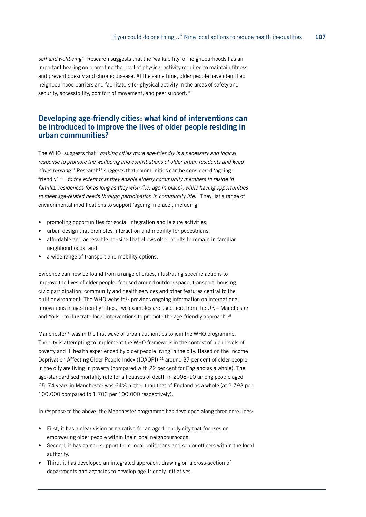*self and wellbeing"*. Research suggests that the 'walkability' of neighbourhoods has an important bearing on promoting the level of physical activity required to maintain fitness and prevent obesity and chronic disease. At the same time, older people have identified neighbourhood barriers and facilitators for physical activity in the areas of safety and security, accessibility, comfort of movement, and peer support.<sup>16</sup>

## Developing age-friendly cities: what kind of interventions can be introduced to improve the lives of older people residing in urban communities?

The WHO1 suggests that "*making cities more age-friendly is a necessary and logical response to promote the wellbeing and contributions of older urban residents and keep cities thriving*." Research<sup>17</sup> suggests that communities can be considered 'ageingfriendly' *"…to the extent that they enable elderly community members to reside in familiar residences for as long as they wish (i.e. age in place), while having opportunities*  to meet age-related needs through participation in community life." They list a range of environmental modifications to support 'ageing in place', including:

- promoting opportunities for social integration and leisure activities;
- urban design that promotes interaction and mobility for pedestrians;
- affordable and accessible housing that allows older adults to remain in familiar neighbourhoods; and
- a wide range of transport and mobility options.

Evidence can now be found from a range of cities, illustrating specific actions to improve the lives of older people, focused around outdoor space, transport, housing, civic participation, community and health services and other features central to the built environment. The WHO website<sup>18</sup> provides ongoing information on international innovations in age-friendly cities. Two examples are used here from the UK – Manchester and York – to illustrate local interventions to promote the age-friendly approach.<sup>19</sup>

Manchester<sup>20</sup> was in the first wave of urban authorities to join the WHO programme. The city is attempting to implement the WHO framework in the context of high levels of poverty and ill health experienced by older people living in the city. Based on the Income Deprivation Affecting Older People Index (IDAOPI),<sup>21</sup> around 37 per cent of older people in the city are living in poverty (compared with 22 per cent for England as a whole). The age-standardised mortality rate for all causes of death in 2008–10 among people aged 65–74 years in Manchester was 64% higher than that of England as a whole (at 2.793 per 100.000 compared to 1.703 per 100.000 respectively).

In response to the above, the Manchester programme has developed along three core lines:

- First, it has a clear vision or narrative for an age-friendly city that focuses on empowering older people within their local neighbourhoods.
- Second, it has gained support from local politicians and senior officers within the local authority.
- Third, it has developed an integrated approach, drawing on a cross-section of departments and agencies to develop age-friendly initiatives.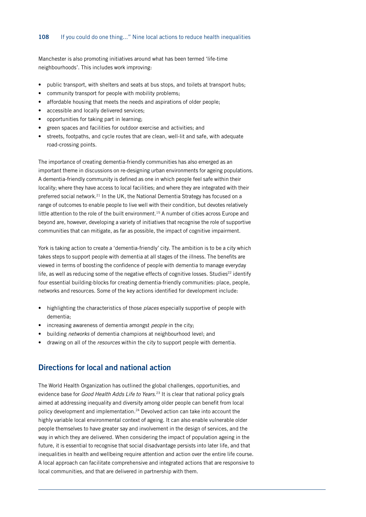#### 108 If you could do one thing..." Nine local actions to reduce health inequalities

Manchester is also promoting initiatives around what has been termed 'life-time neighbourhoods'. This includes work improving:

- public transport, with shelters and seats at bus stops, and toilets at transport hubs;
- community transport for people with mobility problems;
- affordable housing that meets the needs and aspirations of older people:
- accessible and locally delivered services;
- opportunities for taking part in learning;
- green spaces and facilities for outdoor exercise and activities; and
- streets, footpaths, and cycle routes that are clean, well-lit and safe, with adequate road-crossing points.

The importance of creating dementia-friendly communities has also emerged as an important theme in discussions on re-designing urban environments for ageing populations. A dementia-friendly community is defined as one in which people feel safe within their locality; where they have access to local facilities; and where they are integrated with their preferred social network.21 In the UK, the National Dementia Strategy has focused on a range of outcomes to enable people to live well with their condition, but devotes relatively little attention to the role of the built environment.15 A number of cities across Europe and beyond are, however, developing a variety of initiatives that recognise the role of supportive communities that can mitigate, as far as possible, the impact of cognitive impairment.

York is taking action to create a 'dementia-friendly' city. The ambition is to be a city which takes steps to support people with dementia at all stages of the illness. The benefits are viewed in terms of boosting the confidence of people with dementia to manage everyday life, as well as reducing some of the negative effects of cognitive losses. Studies<sup>22</sup> identify four essential building-blocks for creating dementia-friendly communities: place, people, networks and resources. Some of the key actions identified for development include:

- highlighting the characteristics of those *places* especially supportive of people with dementia;
- increasing awareness of dementia amongst *people* in the city;
- building *networks* of dementia champions at neighbourhood level; and
- drawing on all of the *resources* within the city to support people with dementia.

# Directions for local and national action

The World Health Organization has outlined the global challenges, opportunities, and evidence base for *Good Health Adds Life to Years.*23 It is clear that national policy goals aimed at addressing inequality and diversity among older people can benefit from local policy development and implementation.24 Devolved action can take into account the highly variable local environmental context of ageing. It can also enable vulnerable older people themselves to have greater say and involvement in the design of services, and the way in which they are delivered. When considering the impact of population ageing in the future, it is essential to recognise that social disadvantage persists into later life, and that inequalities in health and wellbeing require attention and action over the entire life course. A local approach can facilitate comprehensive and integrated actions that are responsive to local communities, and that are delivered in partnership with them.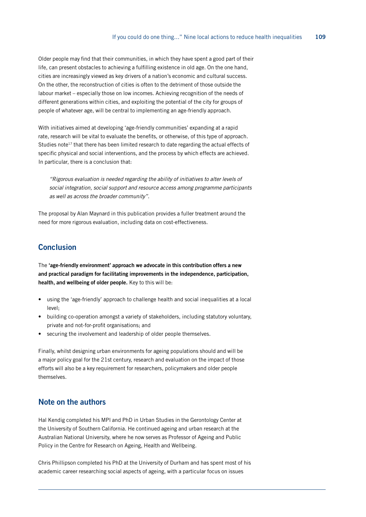Older people may find that their communities, in which they have spent a good part of their life, can present obstacles to achieving a fulfilling existence in old age. On the one hand, cities are increasingly viewed as key drivers of a nation's economic and cultural success. On the other, the reconstruction of cities is often to the detriment of those outside the labour market – especially those on low incomes. Achieving recognition of the needs of different generations within cities, and exploiting the potential of the city for groups of people of whatever age, will be central to implementing an age-friendly approach.

With initiatives aimed at developing 'age-friendly communities' expanding at a rapid rate, research will be vital to evaluate the benefits, or otherwise, of this type of approach. Studies note<sup>17</sup> that there has been limited research to date regarding the actual effects of specific physical and social interventions, and the process by which effects are achieved. In particular, there is a conclusion that:

*"Rigorous evaluation is needed regarding the ability of initiatives to alter levels of social integration, social support and resource access among programme participants as well as across the broader community"*.

The proposal by Alan Maynard in this publication provides a fuller treatment around the need for more rigorous evaluation, including data on cost-effectiveness.

# **Conclusion**

The 'age-friendly environment' approach we advocate in this contribution offers a new and practical paradigm for facilitating improvements in the independence, participation, health, and wellbeing of older people. Key to this will be:

- using the 'age-friendly' approach to challenge health and social inequalities at a local level;
- building co-operation amongst a variety of stakeholders, including statutory voluntary, private and not-for-profit organisations; and
- securing the involvement and leadership of older people themselves.

Finally, whilst designing urban environments for ageing populations should and will be a major policy goal for the 21st century, research and evaluation on the impact of those efforts will also be a key requirement for researchers, policymakers and older people themselves.

#### Note on the authors

Hal Kendig completed his MPl and PhD in Urban Studies in the Gerontology Center at the University of Southern California. He continued ageing and urban research at the Australian National University, where he now serves as Professor of Ageing and Public Policy in the Centre for Research on Ageing, Health and Wellbeing.

Chris Phillipson completed his PhD at the University of Durham and has spent most of his academic career researching social aspects of ageing, with a particular focus on issues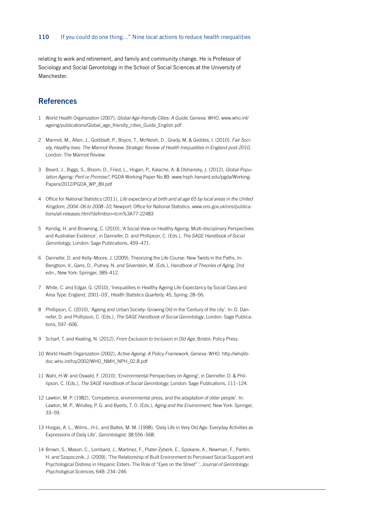relating to work and retirement, and family and community change. He is Professor of Sociology and Social Gerontology in the School of Social Sciences at the University of Manchester.

## **References**

- 1 World Health Organization (2007), *Global Age-friendly Cities: A Guide*, Geneva: WHO. [www.who.int/](http://www.who.int/ageing/publications/Global_age_friendly_cities_Guide_English.pdf) ageing/publications/Global age friendly cities Guide English.pdf
- 2 Marmot, M., Allen, J., Goldblatt, P., Boyce, T., McNeish, D., Grady, M. & Geddes, I. (2010), *Fair Society, Healthy lives: The Marmot Review*: *Strategic Review of Health Inequalities in England post-2010,*  London: The Marmot Review.
- 3 Beard, J., Biggs, S., Bloom, D., Fried, L., Hogan, P., Kalache, A. & Olshansky, J. (2012), *Global Population Ageing: Peril or Promise?,* PGDA Working Paper No.89. [www.hsph.harvard.edu/pgda/Working-](http://www.hsph.harvard.edu/pgda/WorkingPapers/2012/PGDA_WP_89.pdf)[Papers/2012/PGDA\\_WP\\_89.pdf](http://www.hsph.harvard.edu/pgda/WorkingPapers/2012/PGDA_WP_89.pdf)
- 4 Office for National Statistics (2011), *Life expectancy at birth and at age 65 by local areas in the United Kingdom, 2004–06 to 2008–10*, Newport: Office for National Statistics. [www.ons.gov.uk/ons/publica](http://www.ons.gov.uk/ons/publications/all-releases.html?definition=tcm%3A77-22483)[tions/all-releases.html?definition=tcm%3A77-22483](http://www.ons.gov.uk/ons/publications/all-releases.html?definition=tcm%3A77-22483)
- 5 Kendig, H. and Browning, C. (2010), 'A Social View on Healthy Ageing: Multi-disciplinary Perspectives and Australian Evidence', in Dannefer, D. and Phillipson, C. (Eds.), *The SAGE Handbook of Social Gerontology*, London: Sage Publications, 459–471.
- 6 Dannefer, D. and Kelly–Moore, J. (2009), Theorizing the Life Course: New Twists in the Paths. In: Bengtson, V., Gans, D., Putney, N. and Silverstein, M. (Eds.), *Handbook of Theories of Aging*, 2nd edn., New York: Springer, 389–412.
- 7 White, C. and Edgar, G. (2010), 'Inequalities in Healthy Ageing Life Expectancy by Social Class and Area Type: England, 2001–03', *Health Statistics Quarterly*, 45, Spring: 28–56.
- 8 Phillipson, C. (2010), 'Ageing and Urban Society: Growing Old in the 'Century of the city'. In: D. Dannefer, D. and Phillipson, C. (Eds.), *The SAGE Handbook of Social Gerontology*, London: Sage Publications, 597–606.
- 9 Scharf, T. and Keating, N. (2012), *From Exclusion to Inclusion in Old Age*, Bristol: Policy Press.
- 10 World Health Organization (2002), *Active Ageing: A Policy Framework*, Geneva: WHO. [http://whqlib](http://whqlibdoc.who.int/hq/2002/WHO_NMH_NPH_02.8.pdf)[doc.who.int/hq/2002/WHO\\_NMH\\_NPH\\_02.8.pdf](http://whqlibdoc.who.int/hq/2002/WHO_NMH_NPH_02.8.pdf)
- 11 Wahl, H-W. and Oswald, F. (2010), 'Environmental Perspectives on Ageing', in Dannefer. D. & Phillipson, C. (Eds.), *The SAGE Handbook of Social Gerontology*, London: Sage Publications, 111–124.
- 12 Lawton, M. P. (1982), 'Competence, environmental press, and the adaptation of older people'. In: Lawton, M. P., Windley, P. G. and Byerts, T. O. (Eds.), *Aging and the Environment,* New York: Springer, 33–59.
- 13 Horgas, A. L., Wilms., H-L. and Baltes, M. M. (1998), 'Daily Life in Very Old Age: Everyday Activities as Expressions of Daily Life', *Gerontologist*, 38:556–568.
- 14 Brown, S., Mason, C., Lombard, J., Martinez, F., Plater-Zyberk, E., Spokane, A., Newman, F., Pantin, H. and Szapocznik, J. (2009), 'The Relationship of Built Environment to Perceived Social Support and Psychological Distress in Hispanic Elders: The Role of "Eyes on the Street" ', *Journal of Gerontology: Psychological Sciences*, 64B: 234–246.